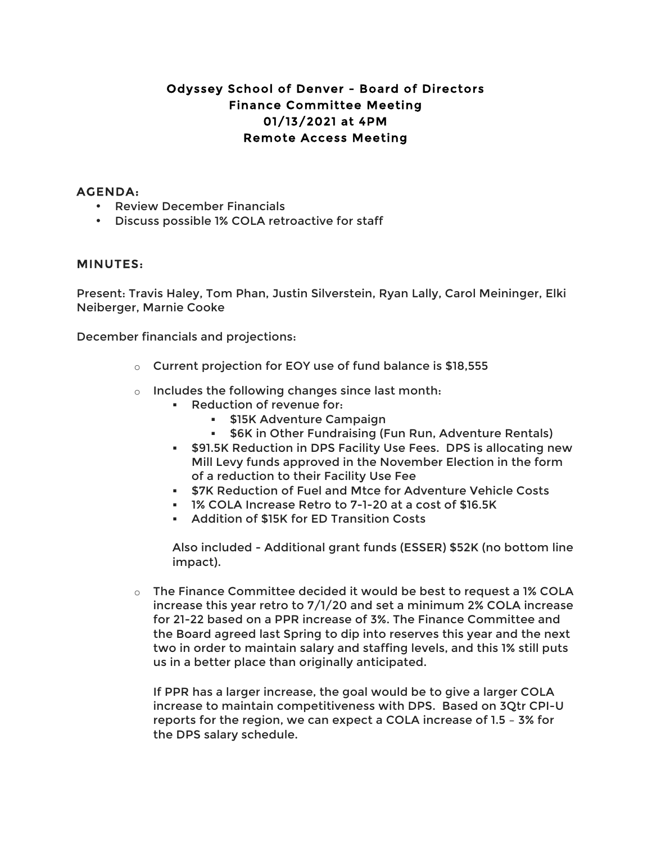## Odyssey School of Denver - Board of Directors Finance Committee Meeting 01/13/2021 at 4PM Remote Access Meeting

## AGENDA:

- Review December Financials
- Discuss possible 1% COLA retroactive for staff

## MINUTES:

Present: Travis Haley, Tom Phan, Justin Silverstein, Ryan Lally, Carol Meininger, Elki Neiberger, Marnie Cooke

December financials and projections:

- o Current projection for EOY use of fund balance is \$18,555
- $\circ$  Includes the following changes since last month:
	- ! Reduction of revenue for:
		- **. \$15K Adventure Campaign**
		- ! \$6K in Other Fundraising (Fun Run, Adventure Rentals)
	- \$91.5K Reduction in DPS Facility Use Fees. DPS is allocating new Mill Levy funds approved in the November Election in the form of a reduction to their Facility Use Fee
	- ! \$7K Reduction of Fuel and Mtce for Adventure Vehicle Costs
	- ! 1% COLA Increase Retro to 7-1-20 at a cost of \$16.5K
	- ! Addition of \$15K for ED Transition Costs

Also included - Additional grant funds (ESSER) \$52K (no bottom line impact).

 $\circ$  The Finance Committee decided it would be best to request a 1% COLA increase this year retro to 7/1/20 and set a minimum 2% COLA increase for 21-22 based on a PPR increase of 3%. The Finance Committee and the Board agreed last Spring to dip into reserves this year and the next two in order to maintain salary and staffing levels, and this 1% still puts us in a better place than originally anticipated.

If PPR has a larger increase, the goal would be to give a larger COLA increase to maintain competitiveness with DPS. Based on 3Qtr CPI-U reports for the region, we can expect a COLA increase of 1.5 – 3% for the DPS salary schedule.